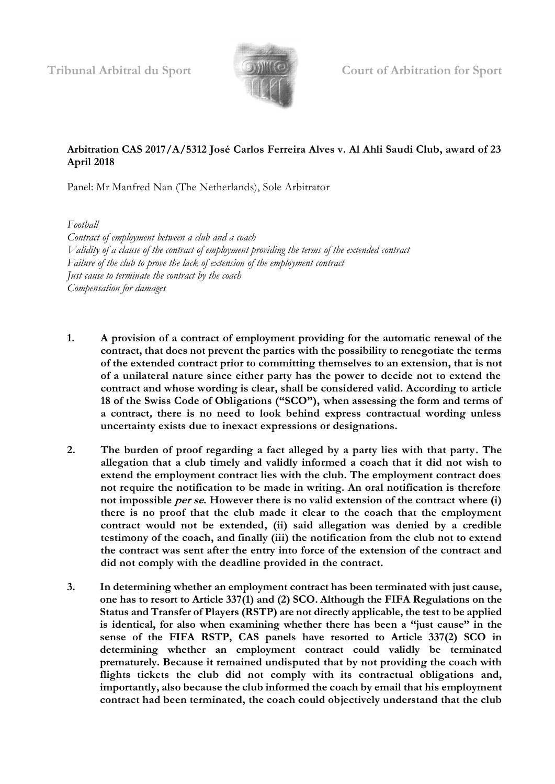

**Tribunal Arbitral du Sport Court of Arbitration for Sport**

# **Arbitration CAS 2017/A/5312 José Carlos Ferreira Alves v. Al Ahli Saudi Club, award of 23 April 2018**

Panel: Mr Manfred Nan (The Netherlands), Sole Arbitrator

*Football*

*Contract of employment between a club and a coach Validity of a clause of the contract of employment providing the terms of the extended contract Failure of the club to prove the lack of extension of the employment contract Just cause to terminate the contract by the coach Compensation for damages*

- **1. A provision of a contract of employment providing for the automatic renewal of the contract, that does not prevent the parties with the possibility to renegotiate the terms of the extended contract prior to committing themselves to an extension, that is not of a unilateral nature since either party has the power to decide not to extend the contract and whose wording is clear, shall be considered valid. According to article 18 of the Swiss Code of Obligations ("SCO"), when assessing the form and terms of a contract, there is no need to look behind express contractual wording unless uncertainty exists due to inexact expressions or designations.**
- **2. The burden of proof regarding a fact alleged by a party lies with that party. The allegation that a club timely and validly informed a coach that it did not wish to extend the employment contract lies with the club. The employment contract does not require the notification to be made in writing. An oral notification is therefore not impossible per se. However there is no valid extension of the contract where (i) there is no proof that the club made it clear to the coach that the employment contract would not be extended, (ii) said allegation was denied by a credible testimony of the coach, and finally (iii) the notification from the club not to extend the contract was sent after the entry into force of the extension of the contract and did not comply with the deadline provided in the contract.**
- **3. In determining whether an employment contract has been terminated with just cause, one has to resort to Article 337(1) and (2) SCO. Although the FIFA Regulations on the Status and Transfer of Players (RSTP) are not directly applicable, the test to be applied is identical, for also when examining whether there has been a "just cause" in the sense of the FIFA RSTP, CAS panels have resorted to Article 337(2) SCO in determining whether an employment contract could validly be terminated prematurely. Because it remained undisputed that by not providing the coach with flights tickets the club did not comply with its contractual obligations and, importantly, also because the club informed the coach by email that his employment contract had been terminated, the coach could objectively understand that the club**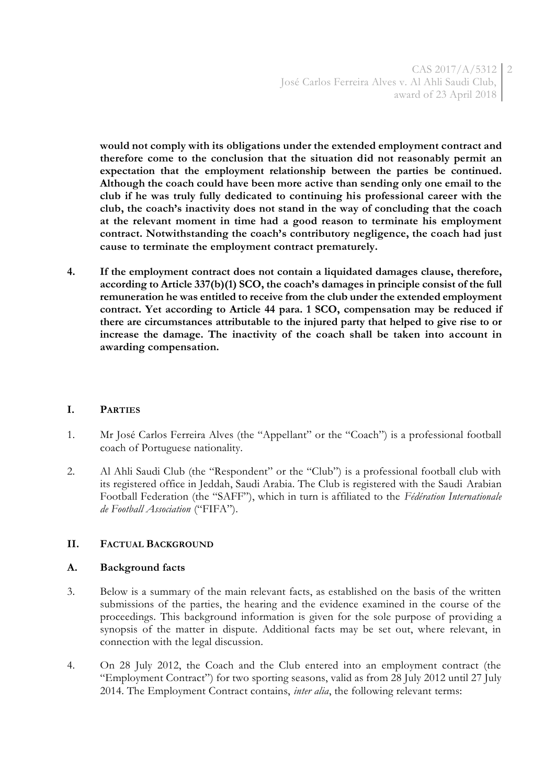**would not comply with its obligations under the extended employment contract and therefore come to the conclusion that the situation did not reasonably permit an expectation that the employment relationship between the parties be continued. Although the coach could have been more active than sending only one email to the club if he was truly fully dedicated to continuing his professional career with the club, the coach's inactivity does not stand in the way of concluding that the coach at the relevant moment in time had a good reason to terminate his employment contract. Notwithstanding the coach's contributory negligence, the coach had just cause to terminate the employment contract prematurely.**

**4. If the employment contract does not contain a liquidated damages clause, therefore, according to Article 337(b)(1) SCO, the coach's damages in principle consist of the full remuneration he was entitled to receive from the club under the extended employment contract. Yet according to Article 44 para. 1 SCO, compensation may be reduced if there are circumstances attributable to the injured party that helped to give rise to or increase the damage. The inactivity of the coach shall be taken into account in awarding compensation.** 

## **I. PARTIES**

- 1. Mr José Carlos Ferreira Alves (the "Appellant" or the "Coach") is a professional football coach of Portuguese nationality.
- 2. Al Ahli Saudi Club (the "Respondent" or the "Club") is a professional football club with its registered office in Jeddah, Saudi Arabia. The Club is registered with the Saudi Arabian Football Federation (the "SAFF"), which in turn is affiliated to the *Fédération Internationale de Football Association* ("FIFA").

## **II. FACTUAL BACKGROUND**

## **A. Background facts**

- 3. Below is a summary of the main relevant facts, as established on the basis of the written submissions of the parties, the hearing and the evidence examined in the course of the proceedings. This background information is given for the sole purpose of providing a synopsis of the matter in dispute. Additional facts may be set out, where relevant, in connection with the legal discussion.
- 4. On 28 July 2012, the Coach and the Club entered into an employment contract (the "Employment Contract") for two sporting seasons, valid as from 28 July 2012 until 27 July 2014. The Employment Contract contains, *inter alia*, the following relevant terms: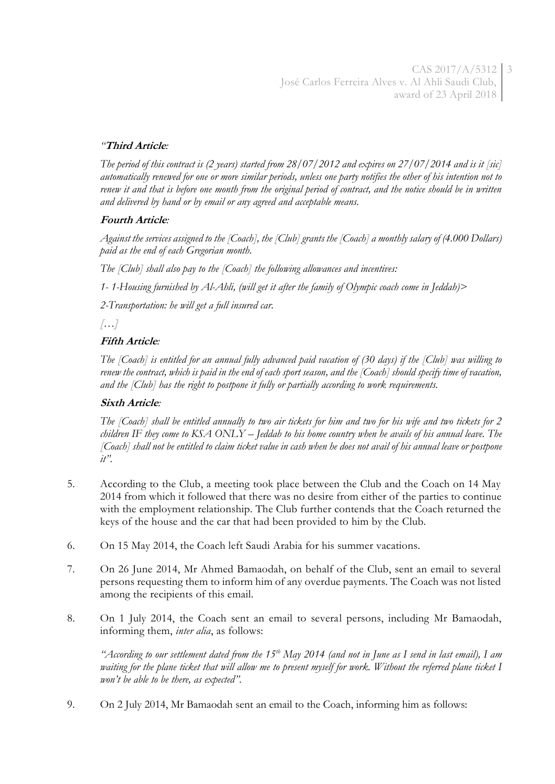CAS 2017/A/5312 3 José Carlos Ferreira Alves v. Al Ahli Saudi Club, award of 23 April 2018

## *"***Third Article***:*

*The period of this contract is (2 years) started from 28/07/2012 and expires on 27/07/2014 and is it [sic] automatically renewed for one or more similar periods, unless one party notifies the other of his intention not to renew it and that is before one month from the original period of contract, and the notice should be in written and delivered by hand or by email or any agreed and acceptable means.*

## **Fourth Article***:*

*Against the services assigned to the [Coach], the [Club] grants the [Coach] a monthly salary of (4.000 Dollars) paid as the end of each Gregorian month.* 

*The [Club] shall also pay to the [Coach] the following allowances and incentives:*

*1- 1-Housing furnished by Al-Ahli, (will get it after the family of Olympic coach come in Jeddah)>*

*2-Transportation: he will get a full insured car.*

*[…]*

# **Fifth Article***:*

*The [Coach] is entitled for an annual fully advanced paid vacation of (30 days) if the [Club] was willing to renew the contract, which is paid in the end of each sport season, and the [Coach] should specify time of vacation, and the [Club] has the right to postpone it fully or partially according to work requirements.*

## **Sixth Article***:*

*The [Coach] shall be entitled annually to two air tickets for him and two for his wife and two tickets for 2 children IF they come to KSA ONLY – Jeddah to his home country when he avails of his annual leave. The [Coach] shall not be entitled to claim ticket value in cash when he does not avail of his annual leave or postpone it".*

- 5. According to the Club, a meeting took place between the Club and the Coach on 14 May 2014 from which it followed that there was no desire from either of the parties to continue with the employment relationship. The Club further contends that the Coach returned the keys of the house and the car that had been provided to him by the Club.
- 6. On 15 May 2014, the Coach left Saudi Arabia for his summer vacations.
- 7. On 26 June 2014, Mr Ahmed Bamaodah, on behalf of the Club, sent an email to several persons requesting them to inform him of any overdue payments. The Coach was not listed among the recipients of this email.
- 8. On 1 July 2014, the Coach sent an email to several persons, including Mr Bamaodah, informing them, *inter alia*, as follows:

*"According to our settlement dated from the 15th May 2014 (and not in June as I send in last email), I am*  waiting for the plane ticket that will allow me to present myself for work. Without the referred plane ticket I *won't be able to be there, as expected".*

9. On 2 July 2014, Mr Bamaodah sent an email to the Coach, informing him as follows: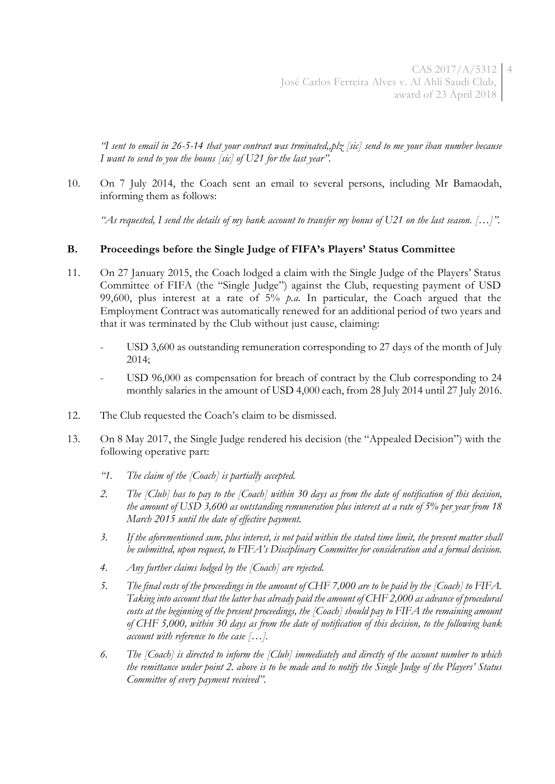*"I sent to email in 26-5-14 that your contract was trminated,,plz [sic] send to me your iban number because I want to send to you the bouns [sic] of U21 for the last year".*

10. On 7 July 2014, the Coach sent an email to several persons, including Mr Bamaodah, informing them as follows:

*"As requested, I send the details of my bank account to transfer my bonus of U21 on the last season. […]".*

## **B. Proceedings before the Single Judge of FIFA's Players' Status Committee**

- 11. On 27 January 2015, the Coach lodged a claim with the Single Judge of the Players' Status Committee of FIFA (the "Single Judge") against the Club, requesting payment of USD 99,600, plus interest at a rate of 5% *p.a.* In particular, the Coach argued that the Employment Contract was automatically renewed for an additional period of two years and that it was terminated by the Club without just cause, claiming:
	- USD 3,600 as outstanding remuneration corresponding to 27 days of the month of July 2014;
	- USD 96,000 as compensation for breach of contract by the Club corresponding to 24 monthly salaries in the amount of USD 4,000 each, from 28 July 2014 until 27 July 2016.
- 12. The Club requested the Coach's claim to be dismissed.
- 13. On 8 May 2017, the Single Judge rendered his decision (the "Appealed Decision") with the following operative part:
	- *"1. The claim of the [Coach] is partially accepted.*
	- *2. The [Club] has to pay to the [Coach] within 30 days as from the date of notification of this decision, the amount of USD 3,600 as outstanding remuneration plus interest at a rate of 5% per year from 18 March 2015 until the date of effective payment.*
	- *3. If the aforementioned sum, plus interest, is not paid within the stated time limit, the present matter shall be submitted, upon request, to FIFA's Disciplinary Committee for consideration and a formal decision.*
	- *4. Any further claims lodged by the [Coach] are rejected.*
	- *5. The final costs of the proceedings in the amount of CHF 7,000 are to be paid by the [Coach] to FIFA. Taking into account that the latter has already paid the amount of CHF 2,000 as advance of procedural costs at the beginning of the present proceedings, the [Coach] should pay to FIFA the remaining amount of CHF 5,000, within 30 days as from the date of notification of this decision, to the following bank account with reference to the case […].*
	- *6. The [Coach] is directed to inform the [Club] immediately and directly of the account number to which the remittance under point 2. above is to be made and to notify the Single Judge of the Players' Status Committee of every payment received".*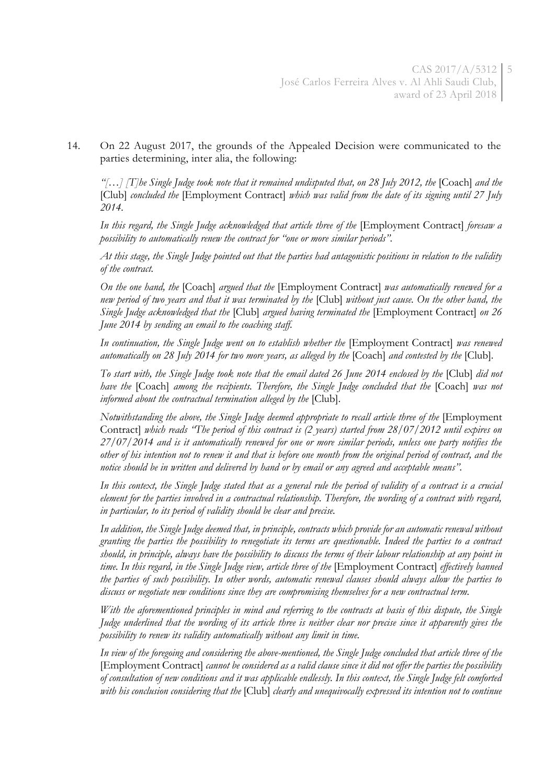14. On 22 August 2017, the grounds of the Appealed Decision were communicated to the parties determining, inter alia, the following:

*"[...] [T]he Single Judge took note that it remained undisputed that, on 28 July 2012, the* [Coach] *and the* [Club] *concluded the* [Employment Contract] *which was valid from the date of its signing until 27 July 2014.*

*In this regard, the Single Judge acknowledged that article three of the* [Employment Contract] *foresaw a possibility to automatically renew the contract for "one or more similar periods".*

*At this stage, the Single Judge pointed out that the parties had antagonistic positions in relation to the validity of the contract.*

*On the one hand, the* [Coach] *argued that the* [Employment Contract] *was automatically renewed for a new period of two years and that it was terminated by the* [Club] *without just cause. On the other hand, the Single Judge acknowledged that the* [Club] *argued having terminated the* [Employment Contract] *on 26 June 2014 by sending an email to the coaching staff.*

In continuation, the Single Judge went on to establish whether the [Employment Contract] was renewed *automatically on 28 July 2014 for two more years, as alleged by the* [Coach] *and contested by the* [Club]*.*

*To start with, the Single Judge took note that the email dated 26 June 2014 enclosed by the* [Club] *did not have the* [Coach] *among the recipients. Therefore, the Single Judge concluded that the* [Coach] *was not informed about the contractual termination alleged by the* [Club].

*Notwithstanding the above, the Single Judge deemed appropriate to recall article three of the* [Employment Contract] *which reads "The period of this contract is (2 years) started from 28/07/2012 until expires on 27/07/2014 and is it automatically renewed for one or more similar periods, unless one party notifies the other of his intention not to renew it and that is before one month from the original period of contract, and the notice should be in written and delivered by hand or by email or any agreed and acceptable means".*

*In this context, the Single Judge stated that as a general rule the period of validity of a contract is a crucial element for the parties involved in a contractual relationship. Therefore, the wording of a contract with regard, in particular, to its period of validity should be clear and precise.*

*In addition, the Single Judge deemed that, in principle, contracts which provide for an automatic renewal without granting the parties the possibility to renegotiate its terms are questionable. Indeed the parties to a contract should, in principle, always have the possibility to discuss the terms of their labour relationship at any point in time. In this regard, in the Single Judge view, article three of the* [Employment Contract] *effectively banned the parties of such possibility. In other words, automatic renewal clauses should always allow the parties to discuss or negotiate new conditions since they are compromising themselves for a new contractual term.*

*With the aforementioned principles in mind and referring to the contracts at basis of this dispute, the Single Judge underlined that the wording of its article three is neither clear nor precise since it apparently gives the possibility to renew its validity automatically without any limit in time.*

*In view of the foregoing and considering the above-mentioned, the Single Judge concluded that article three of the*  [Employment Contract] *cannot be considered as a valid clause since it did not offer the parties the possibility of consultation of new conditions and it was applicable endlessly. In this context, the Single Judge felt comforted with his conclusion considering that the* [Club] *clearly and unequivocally expressed its intention not to continue*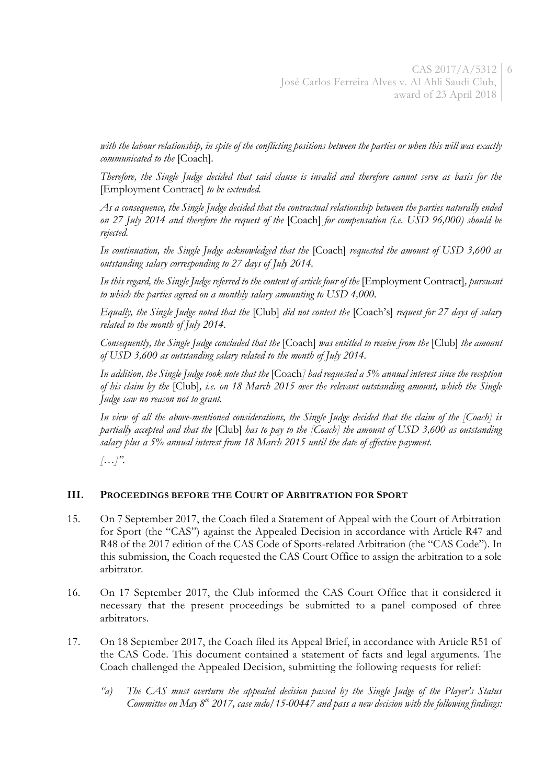*with the labour relationship, in spite of the conflicting positions between the parties or when this will was exactly communicated to the* [Coach]*.*

*Therefore, the Single Judge decided that said clause is invalid and therefore cannot serve as basis for the*  [Employment Contract] *to be extended.*

*As a consequence, the Single Judge decided that the contractual relationship between the parties naturally ended on 27 July 2014 and therefore the request of the* [Coach] *for compensation (i.e. USD 96,000) should be rejected.*

*In continuation, the Single Judge acknowledged that the* [Coach] *requested the amount of USD 3,600 as outstanding salary corresponding to 27 days of July 2014.*

*In this regard, the Single Judge referred to the content of article four of the* [Employment Contract]*, pursuant to which the parties agreed on a monthly salary amounting to USD 4,000.*

*Equally, the Single Judge noted that the* [Club] *did not contest the* [Coach's] *request for 27 days of salary related to the month of July 2014.*

*Consequently, the Single Judge concluded that the* [Coach] *was entitled to receive from the* [Club] *the amount of USD 3,600 as outstanding salary related to the month of July 2014.*

*In addition, the Single Judge took note that the* [Coach*] had requested a 5% annual interest since the reception of his claim by the* [Club]*, i.e. on 18 March 2015 over the relevant outstanding amount, which the Single Judge saw no reason not to grant.*

*In view of all the above-mentioned considerations, the Single Judge decided that the claim of the [Coach] is partially accepted and that the* [Club] *has to pay to the [Coach] the amount of USD 3,600 as outstanding salary plus a 5% annual interest from 18 March 2015 until the date of effective payment.*

*[…]".*

## **III. PROCEEDINGS BEFORE THE COURT OF ARBITRATION FOR SPORT**

- 15. On 7 September 2017, the Coach filed a Statement of Appeal with the Court of Arbitration for Sport (the "CAS") against the Appealed Decision in accordance with Article R47 and R48 of the 2017 edition of the CAS Code of Sports-related Arbitration (the "CAS Code"). In this submission, the Coach requested the CAS Court Office to assign the arbitration to a sole arbitrator.
- 16. On 17 September 2017, the Club informed the CAS Court Office that it considered it necessary that the present proceedings be submitted to a panel composed of three arbitrators.
- 17. On 18 September 2017, the Coach filed its Appeal Brief, in accordance with Article R51 of the CAS Code. This document contained a statement of facts and legal arguments. The Coach challenged the Appealed Decision, submitting the following requests for relief:
	- *"a) The CAS must overturn the appealed decision passed by the Single Judge of the Player's Status Committee on May 8 th 2017, case mdo/15-00447 and pass a new decision with the following findings:*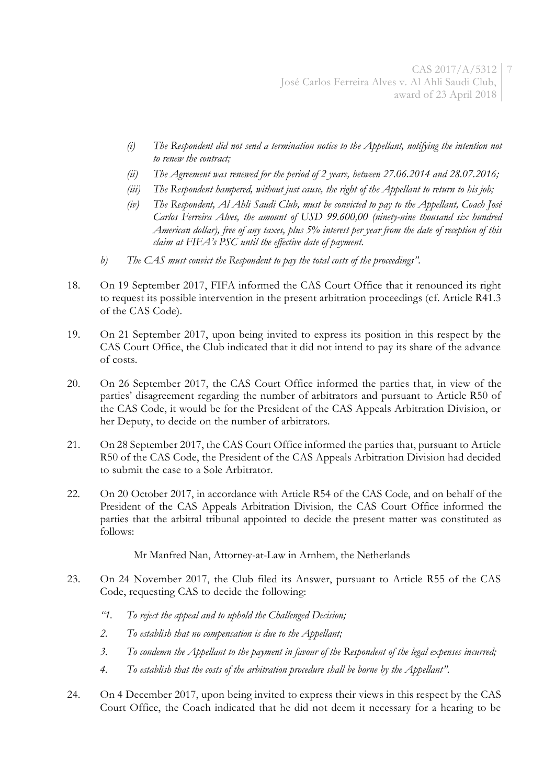- *(i) The Respondent did not send a termination notice to the Appellant, notifying the intention not to renew the contract;*
- *(ii) The Agreement was renewed for the period of 2 years, between 27.06.2014 and 28.07.2016;*
- *(iii) The Respondent hampered, without just cause, the right of the Appellant to return to his job;*
- *(iv) The Respondent, Al Ahli Saudi Club, must be convicted to pay to the Appellant, Coach José Carlos Ferreira Alves, the amount of USD 99.600,00 (ninety-nine thousand six hundred American dollar), free of any taxes, plus 5% interest per year from the date of reception of this claim at FIFA's PSC until the effective date of payment.*
- *b) The CAS must convict the Respondent to pay the total costs of the proceedings".*
- 18. On 19 September 2017, FIFA informed the CAS Court Office that it renounced its right to request its possible intervention in the present arbitration proceedings (cf. Article R41.3 of the CAS Code).
- 19. On 21 September 2017, upon being invited to express its position in this respect by the CAS Court Office, the Club indicated that it did not intend to pay its share of the advance of costs.
- 20. On 26 September 2017, the CAS Court Office informed the parties that, in view of the parties' disagreement regarding the number of arbitrators and pursuant to Article R50 of the CAS Code, it would be for the President of the CAS Appeals Arbitration Division, or her Deputy, to decide on the number of arbitrators.
- 21. On 28 September 2017, the CAS Court Office informed the parties that, pursuant to Article R50 of the CAS Code, the President of the CAS Appeals Arbitration Division had decided to submit the case to a Sole Arbitrator.
- 22. On 20 October 2017, in accordance with Article R54 of the CAS Code, and on behalf of the President of the CAS Appeals Arbitration Division, the CAS Court Office informed the parties that the arbitral tribunal appointed to decide the present matter was constituted as follows:

Mr Manfred Nan, Attorney-at-Law in Arnhem, the Netherlands

- 23. On 24 November 2017, the Club filed its Answer, pursuant to Article R55 of the CAS Code, requesting CAS to decide the following:
	- *"1. To reject the appeal and to uphold the Challenged Decision;*
	- *2. To establish that no compensation is due to the Appellant;*
	- *3. To condemn the Appellant to the payment in favour of the Respondent of the legal expenses incurred;*
	- *4. To establish that the costs of the arbitration procedure shall be borne by the Appellant".*
- 24. On 4 December 2017, upon being invited to express their views in this respect by the CAS Court Office, the Coach indicated that he did not deem it necessary for a hearing to be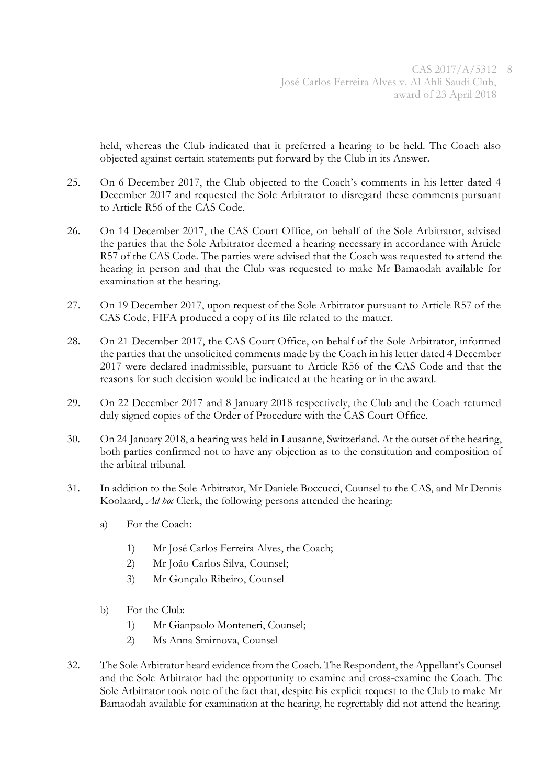held, whereas the Club indicated that it preferred a hearing to be held. The Coach also objected against certain statements put forward by the Club in its Answer.

- 25. On 6 December 2017, the Club objected to the Coach's comments in his letter dated 4 December 2017 and requested the Sole Arbitrator to disregard these comments pursuant to Article R56 of the CAS Code.
- 26. On 14 December 2017, the CAS Court Office, on behalf of the Sole Arbitrator, advised the parties that the Sole Arbitrator deemed a hearing necessary in accordance with Article R57 of the CAS Code. The parties were advised that the Coach was requested to attend the hearing in person and that the Club was requested to make Mr Bamaodah available for examination at the hearing.
- 27. On 19 December 2017, upon request of the Sole Arbitrator pursuant to Article R57 of the CAS Code, FIFA produced a copy of its file related to the matter.
- 28. On 21 December 2017, the CAS Court Office, on behalf of the Sole Arbitrator, informed the parties that the unsolicited comments made by the Coach in his letter dated 4 December 2017 were declared inadmissible, pursuant to Article R56 of the CAS Code and that the reasons for such decision would be indicated at the hearing or in the award.
- 29. On 22 December 2017 and 8 January 2018 respectively, the Club and the Coach returned duly signed copies of the Order of Procedure with the CAS Court Office.
- 30. On 24 January 2018, a hearing was held in Lausanne, Switzerland. At the outset of the hearing, both parties confirmed not to have any objection as to the constitution and composition of the arbitral tribunal.
- 31. In addition to the Sole Arbitrator, Mr Daniele Boccucci, Counsel to the CAS, and Mr Dennis Koolaard, *Ad hoc* Clerk, the following persons attended the hearing:
	- a) For the Coach:
		- 1) Mr José Carlos Ferreira Alves, the Coach;
		- 2) Mr João Carlos Silva, Counsel;
		- 3) Mr Gonçalo Ribeiro, Counsel
	- b) For the Club:
		- 1) Mr Gianpaolo Monteneri, Counsel;
		- 2) Ms Anna Smirnova, Counsel
- 32. The Sole Arbitrator heard evidence from the Coach. The Respondent, the Appellant's Counsel and the Sole Arbitrator had the opportunity to examine and cross-examine the Coach. The Sole Arbitrator took note of the fact that, despite his explicit request to the Club to make Mr Bamaodah available for examination at the hearing, he regrettably did not attend the hearing.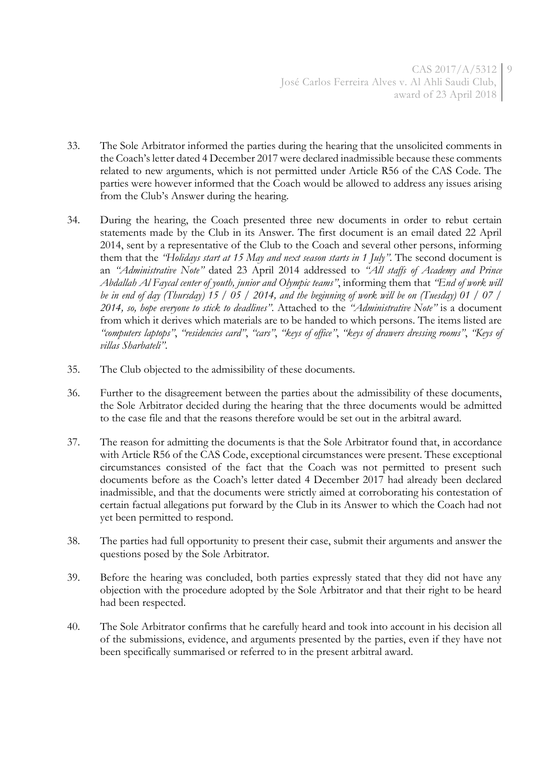CAS 2017/A/5312 9 José Carlos Ferreira Alves v. Al Ahli Saudi Club, award of 23 April 2018

- 33. The Sole Arbitrator informed the parties during the hearing that the unsolicited comments in the Coach's letter dated 4 December 2017 were declared inadmissible because these comments related to new arguments, which is not permitted under Article R56 of the CAS Code. The parties were however informed that the Coach would be allowed to address any issues arising from the Club's Answer during the hearing.
- 34. During the hearing, the Coach presented three new documents in order to rebut certain statements made by the Club in its Answer. The first document is an email dated 22 April 2014, sent by a representative of the Club to the Coach and several other persons, informing them that the *"Holidays start at 15 May and next season starts in 1 July"*. The second document is an *"Administrative Note"* dated 23 April 2014 addressed to *"All staffs of Academy and Prince Abdallah Al Faycal center of youth, junior and Olympic teams"*, informing them that *"End of work will be in end of day (Thursday) 15 / 05 / 2014, and the beginning of work will be on (Tuesday) 01 / 07 / 2014, so, hope everyone to stick to deadlines"*. Attached to the *"Administrative Note"* is a document from which it derives which materials are to be handed to which persons. The items listed are "computers laptops", "residencies card", "cars", "keys of office", "keys of drawers dressing rooms", "Keys of *villas Sharbateli"*.
- 35. The Club objected to the admissibility of these documents.
- 36. Further to the disagreement between the parties about the admissibility of these documents, the Sole Arbitrator decided during the hearing that the three documents would be admitted to the case file and that the reasons therefore would be set out in the arbitral award.
- 37. The reason for admitting the documents is that the Sole Arbitrator found that, in accordance with Article R56 of the CAS Code, exceptional circumstances were present. These exceptional circumstances consisted of the fact that the Coach was not permitted to present such documents before as the Coach's letter dated 4 December 2017 had already been declared inadmissible, and that the documents were strictly aimed at corroborating his contestation of certain factual allegations put forward by the Club in its Answer to which the Coach had not yet been permitted to respond.
- 38. The parties had full opportunity to present their case, submit their arguments and answer the questions posed by the Sole Arbitrator.
- 39. Before the hearing was concluded, both parties expressly stated that they did not have any objection with the procedure adopted by the Sole Arbitrator and that their right to be heard had been respected.
- 40. The Sole Arbitrator confirms that he carefully heard and took into account in his decision all of the submissions, evidence, and arguments presented by the parties, even if they have not been specifically summarised or referred to in the present arbitral award.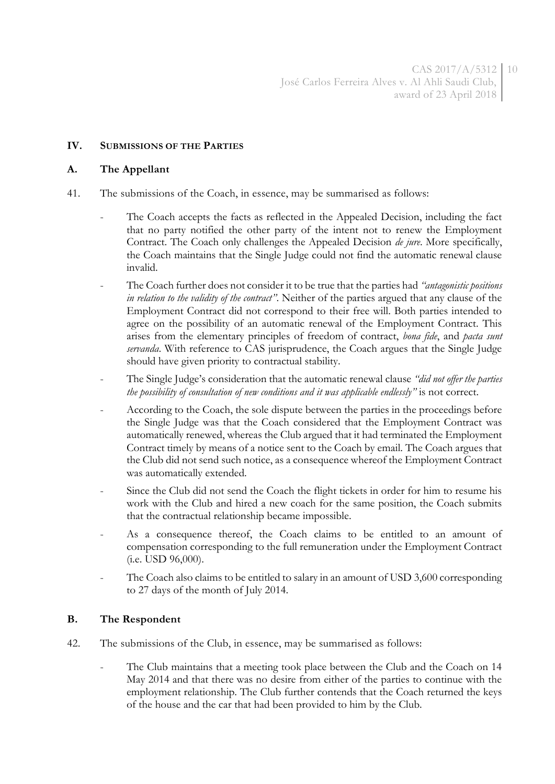## **IV. SUBMISSIONS OF THE PARTIES**

## **A. The Appellant**

- 41. The submissions of the Coach, in essence, may be summarised as follows:
	- The Coach accepts the facts as reflected in the Appealed Decision, including the fact that no party notified the other party of the intent not to renew the Employment Contract. The Coach only challenges the Appealed Decision *de jure*. More specifically, the Coach maintains that the Single Judge could not find the automatic renewal clause invalid.
	- The Coach further does not consider it to be true that the parties had *"antagonistic positions in relation to the validity of the contract"*. Neither of the parties argued that any clause of the Employment Contract did not correspond to their free will. Both parties intended to agree on the possibility of an automatic renewal of the Employment Contract. This arises from the elementary principles of freedom of contract, *bona fide*, and *pacta sunt servanda*. With reference to CAS jurisprudence, the Coach argues that the Single Judge should have given priority to contractual stability.
	- The Single Judge's consideration that the automatic renewal clause *"did not offer the parties the possibility of consultation of new conditions and it was applicable endlessly"* is not correct.
	- According to the Coach, the sole dispute between the parties in the proceedings before the Single Judge was that the Coach considered that the Employment Contract was automatically renewed, whereas the Club argued that it had terminated the Employment Contract timely by means of a notice sent to the Coach by email. The Coach argues that the Club did not send such notice, as a consequence whereof the Employment Contract was automatically extended.
	- Since the Club did not send the Coach the flight tickets in order for him to resume his work with the Club and hired a new coach for the same position, the Coach submits that the contractual relationship became impossible.
	- As a consequence thereof, the Coach claims to be entitled to an amount of compensation corresponding to the full remuneration under the Employment Contract (i.e. USD 96,000).
	- The Coach also claims to be entitled to salary in an amount of USD 3,600 corresponding to 27 days of the month of July 2014.

## **B. The Respondent**

- 42. The submissions of the Club, in essence, may be summarised as follows:
	- The Club maintains that a meeting took place between the Club and the Coach on 14 May 2014 and that there was no desire from either of the parties to continue with the employment relationship. The Club further contends that the Coach returned the keys of the house and the car that had been provided to him by the Club.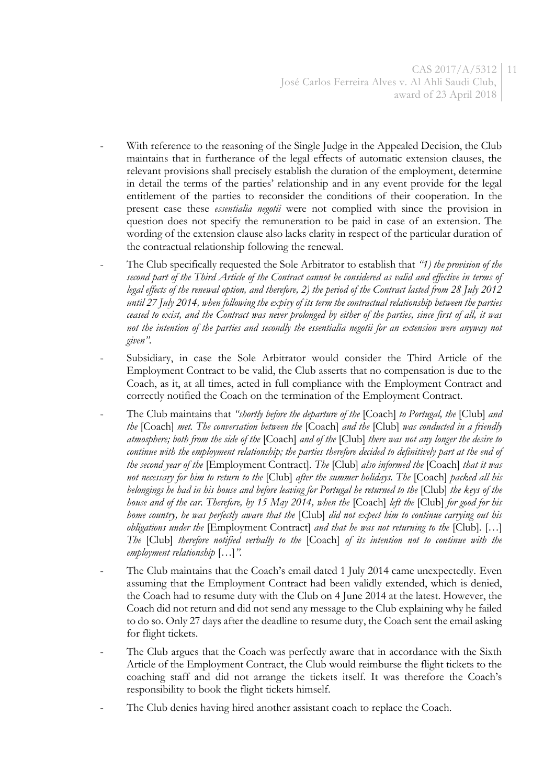CAS 2017/A/5312 11 José Carlos Ferreira Alves v. Al Ahli Saudi Club, award of 23 April 2018

- With reference to the reasoning of the Single Judge in the Appealed Decision, the Club maintains that in furtherance of the legal effects of automatic extension clauses, the relevant provisions shall precisely establish the duration of the employment, determine in detail the terms of the parties' relationship and in any event provide for the legal entitlement of the parties to reconsider the conditions of their cooperation. In the present case these *essentialia negotii* were not complied with since the provision in question does not specify the remuneration to be paid in case of an extension. The wording of the extension clause also lacks clarity in respect of the particular duration of the contractual relationship following the renewal.
- The Club specifically requested the Sole Arbitrator to establish that *"1) the provision of the second part of the Third Article of the Contract cannot be considered as valid and effective in terms of legal effects of the renewal option, and therefore, 2) the period of the Contract lasted from 28 July 2012 until 27 July 2014, when following the expiry of its term the contractual relationship between the parties ceased to exist, and the Contract was never prolonged by either of the parties, since first of all, it was not the intention of the parties and secondly the essentialia negotii for an extension were anyway not given".*
- Subsidiary, in case the Sole Arbitrator would consider the Third Article of the Employment Contract to be valid, the Club asserts that no compensation is due to the Coach, as it, at all times, acted in full compliance with the Employment Contract and correctly notified the Coach on the termination of the Employment Contract.
- The Club maintains that *"shortly before the departure of the* [Coach] *to Portugal, the* [Club] *and the* [Coach] *met. The conversation between the* [Coach] *and the* [Club] *was conducted in a friendly atmosphere; both from the side of the* [Coach] *and of the* [Club] *there was not any longer the desire to continue with the employment relationship; the parties therefore decided to definitively part at the end of the second year of the* [Employment Contract]*. The* [Club] *also informed the* [Coach] *that it was not necessary for him to return to the* [Club] *after the summer holidays. The* [Coach] *packed all his belongings he had in his house and before leaving for Portugal he returned to the* [Club] *the keys of the house and of the car. Therefore, by 15 May 2014, when the* [Coach] *left the* [Club] *for good for his home country, he was perfectly aware that the* [Club] *did not expect him to continue carrying out his obligations under the* [Employment Contract] *and that he was not returning to the* [Club]*.* […] *The* [Club] *therefore notified verbally to the* [Coach] *of its intention not to continue with the employment relationship* […]*".*
- The Club maintains that the Coach's email dated 1 July 2014 came unexpectedly. Even assuming that the Employment Contract had been validly extended, which is denied, the Coach had to resume duty with the Club on 4 June 2014 at the latest. However, the Coach did not return and did not send any message to the Club explaining why he failed to do so. Only 27 days after the deadline to resume duty, the Coach sent the email asking for flight tickets.
- The Club argues that the Coach was perfectly aware that in accordance with the Sixth Article of the Employment Contract, the Club would reimburse the flight tickets to the coaching staff and did not arrange the tickets itself. It was therefore the Coach's responsibility to book the flight tickets himself.
- The Club denies having hired another assistant coach to replace the Coach.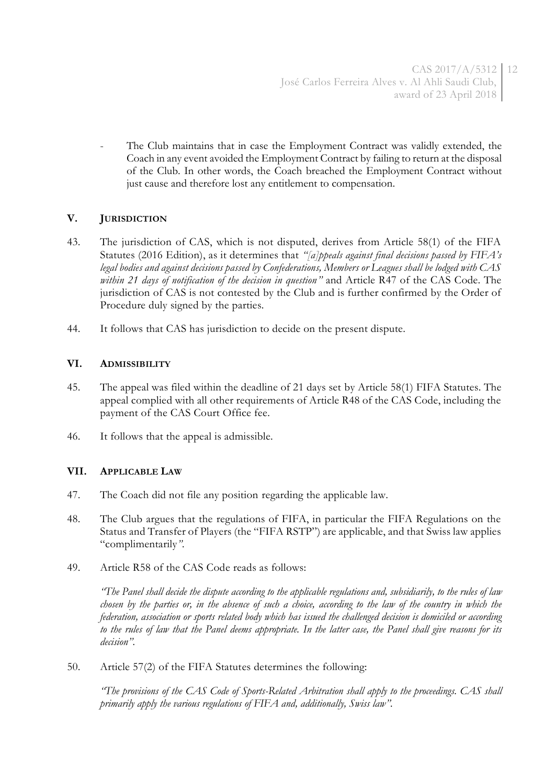The Club maintains that in case the Employment Contract was validly extended, the Coach in any event avoided the Employment Contract by failing to return at the disposal of the Club. In other words, the Coach breached the Employment Contract without just cause and therefore lost any entitlement to compensation.

# **V. JURISDICTION**

- 43. The jurisdiction of CAS, which is not disputed, derives from Article 58(1) of the FIFA Statutes (2016 Edition), as it determines that *"[a]ppeals against final decisions passed by FIFA's legal bodies and against decisions passed by Confederations, Members or Leagues shall be lodged with CAS within 21 days of notification of the decision in question"* and Article R47 of the CAS Code. The jurisdiction of CAS is not contested by the Club and is further confirmed by the Order of Procedure duly signed by the parties.
- 44. It follows that CAS has jurisdiction to decide on the present dispute.

## **VI. ADMISSIBILITY**

- 45. The appeal was filed within the deadline of 21 days set by Article 58(1) FIFA Statutes. The appeal complied with all other requirements of Article R48 of the CAS Code, including the payment of the CAS Court Office fee.
- 46. It follows that the appeal is admissible.

# **VII. APPLICABLE LAW**

- 47. The Coach did not file any position regarding the applicable law.
- 48. The Club argues that the regulations of FIFA, in particular the FIFA Regulations on the Status and Transfer of Players (the "FIFA RSTP") are applicable, and that Swiss law applies "complimentarily*".*
- 49. Article R58 of the CAS Code reads as follows:

*"The Panel shall decide the dispute according to the applicable regulations and, subsidiarily, to the rules of law chosen by the parties or, in the absence of such a choice, according to the law of the country in which the federation, association or sports related body which has issued the challenged decision is domiciled or according to the rules of law that the Panel deems appropriate. In the latter case, the Panel shall give reasons for its decision".*

50. Article 57(2) of the FIFA Statutes determines the following:

*"The provisions of the CAS Code of Sports-Related Arbitration shall apply to the proceedings. CAS shall primarily apply the various regulations of FIFA and, additionally, Swiss law".*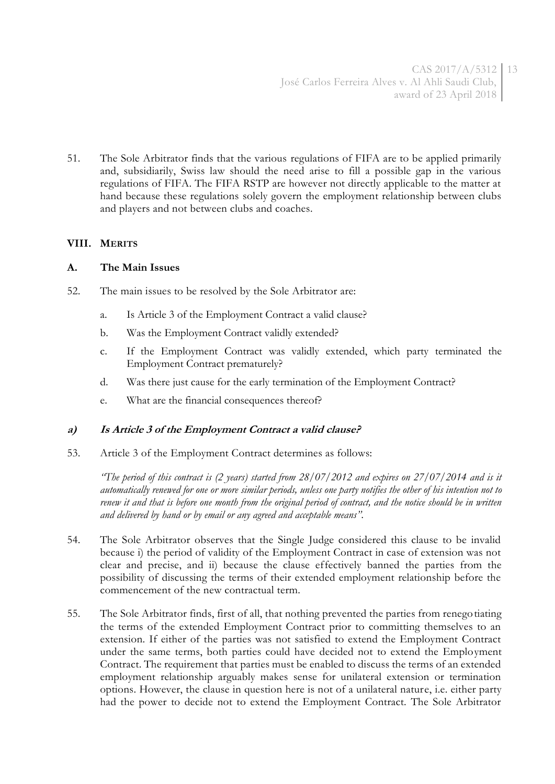51. The Sole Arbitrator finds that the various regulations of FIFA are to be applied primarily and, subsidiarily, Swiss law should the need arise to fill a possible gap in the various regulations of FIFA. The FIFA RSTP are however not directly applicable to the matter at hand because these regulations solely govern the employment relationship between clubs and players and not between clubs and coaches.

## **VIII. MERITS**

## **A. The Main Issues**

- 52. The main issues to be resolved by the Sole Arbitrator are:
	- a. Is Article 3 of the Employment Contract a valid clause?
	- b. Was the Employment Contract validly extended?
	- c. If the Employment Contract was validly extended, which party terminated the Employment Contract prematurely?
	- d. Was there just cause for the early termination of the Employment Contract?
	- e. What are the financial consequences thereof?

## **a) Is Article 3 of the Employment Contract a valid clause?**

53. Article 3 of the Employment Contract determines as follows:

*"The period of this contract is (2 years) started from 28/07/2012 and expires on 27/07/2014 and is it automatically renewed for one or more similar periods, unless one party notifies the other of his intention not to renew it and that is before one month from the original period of contract, and the notice should be in written and delivered by hand or by email or any agreed and acceptable means".*

- 54. The Sole Arbitrator observes that the Single Judge considered this clause to be invalid because i) the period of validity of the Employment Contract in case of extension was not clear and precise, and ii) because the clause effectively banned the parties from the possibility of discussing the terms of their extended employment relationship before the commencement of the new contractual term.
- 55. The Sole Arbitrator finds, first of all, that nothing prevented the parties from renegotiating the terms of the extended Employment Contract prior to committing themselves to an extension. If either of the parties was not satisfied to extend the Employment Contract under the same terms, both parties could have decided not to extend the Employment Contract. The requirement that parties must be enabled to discuss the terms of an extended employment relationship arguably makes sense for unilateral extension or termination options. However, the clause in question here is not of a unilateral nature, i.e. either party had the power to decide not to extend the Employment Contract. The Sole Arbitrator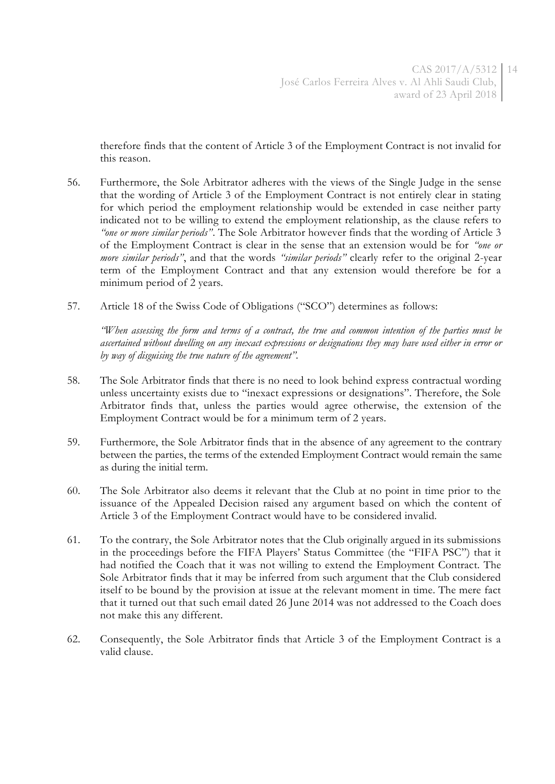therefore finds that the content of Article 3 of the Employment Contract is not invalid for this reason.

- 56. Furthermore, the Sole Arbitrator adheres with the views of the Single Judge in the sense that the wording of Article 3 of the Employment Contract is not entirely clear in stating for which period the employment relationship would be extended in case neither party indicated not to be willing to extend the employment relationship, as the clause refers to *"one or more similar periods"*. The Sole Arbitrator however finds that the wording of Article 3 of the Employment Contract is clear in the sense that an extension would be for *"one or more similar periods"*, and that the words *"similar periods"* clearly refer to the original 2-year term of the Employment Contract and that any extension would therefore be for a minimum period of 2 years.
- 57. Article 18 of the Swiss Code of Obligations ("SCO") determines as follows:

*"When assessing the form and terms of a contract, the true and common intention of the parties must be ascertained without dwelling on any inexact expressions or designations they may have used either in error or by way of disguising the true nature of the agreement".*

- 58. The Sole Arbitrator finds that there is no need to look behind express contractual wording unless uncertainty exists due to "inexact expressions or designations". Therefore, the Sole Arbitrator finds that, unless the parties would agree otherwise, the extension of the Employment Contract would be for a minimum term of 2 years.
- 59. Furthermore, the Sole Arbitrator finds that in the absence of any agreement to the contrary between the parties, the terms of the extended Employment Contract would remain the same as during the initial term.
- 60. The Sole Arbitrator also deems it relevant that the Club at no point in time prior to the issuance of the Appealed Decision raised any argument based on which the content of Article 3 of the Employment Contract would have to be considered invalid.
- 61. To the contrary, the Sole Arbitrator notes that the Club originally argued in its submissions in the proceedings before the FIFA Players' Status Committee (the "FIFA PSC") that it had notified the Coach that it was not willing to extend the Employment Contract. The Sole Arbitrator finds that it may be inferred from such argument that the Club considered itself to be bound by the provision at issue at the relevant moment in time. The mere fact that it turned out that such email dated 26 June 2014 was not addressed to the Coach does not make this any different.
- 62. Consequently, the Sole Arbitrator finds that Article 3 of the Employment Contract is a valid clause.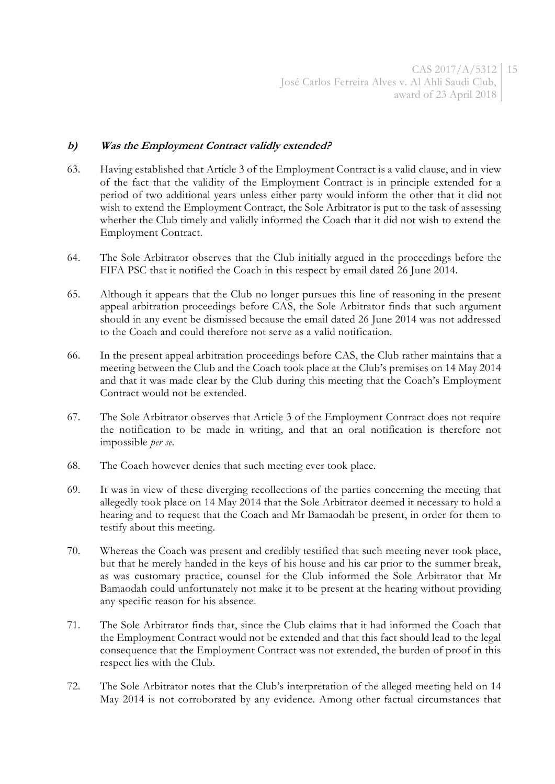## **b) Was the Employment Contract validly extended?**

- 63. Having established that Article 3 of the Employment Contract is a valid clause, and in view of the fact that the validity of the Employment Contract is in principle extended for a period of two additional years unless either party would inform the other that it did not wish to extend the Employment Contract, the Sole Arbitrator is put to the task of assessing whether the Club timely and validly informed the Coach that it did not wish to extend the Employment Contract.
- 64. The Sole Arbitrator observes that the Club initially argued in the proceedings before the FIFA PSC that it notified the Coach in this respect by email dated 26 June 2014.
- 65. Although it appears that the Club no longer pursues this line of reasoning in the present appeal arbitration proceedings before CAS, the Sole Arbitrator finds that such argument should in any event be dismissed because the email dated 26 June 2014 was not addressed to the Coach and could therefore not serve as a valid notification.
- 66. In the present appeal arbitration proceedings before CAS, the Club rather maintains that a meeting between the Club and the Coach took place at the Club's premises on 14 May 2014 and that it was made clear by the Club during this meeting that the Coach's Employment Contract would not be extended.
- 67. The Sole Arbitrator observes that Article 3 of the Employment Contract does not require the notification to be made in writing, and that an oral notification is therefore not impossible *per se*.
- 68. The Coach however denies that such meeting ever took place.
- 69. It was in view of these diverging recollections of the parties concerning the meeting that allegedly took place on 14 May 2014 that the Sole Arbitrator deemed it necessary to hold a hearing and to request that the Coach and Mr Bamaodah be present, in order for them to testify about this meeting.
- 70. Whereas the Coach was present and credibly testified that such meeting never took place, but that he merely handed in the keys of his house and his car prior to the summer break, as was customary practice, counsel for the Club informed the Sole Arbitrator that Mr Bamaodah could unfortunately not make it to be present at the hearing without providing any specific reason for his absence.
- 71. The Sole Arbitrator finds that, since the Club claims that it had informed the Coach that the Employment Contract would not be extended and that this fact should lead to the legal consequence that the Employment Contract was not extended, the burden of proof in this respect lies with the Club.
- 72. The Sole Arbitrator notes that the Club's interpretation of the alleged meeting held on 14 May 2014 is not corroborated by any evidence. Among other factual circumstances that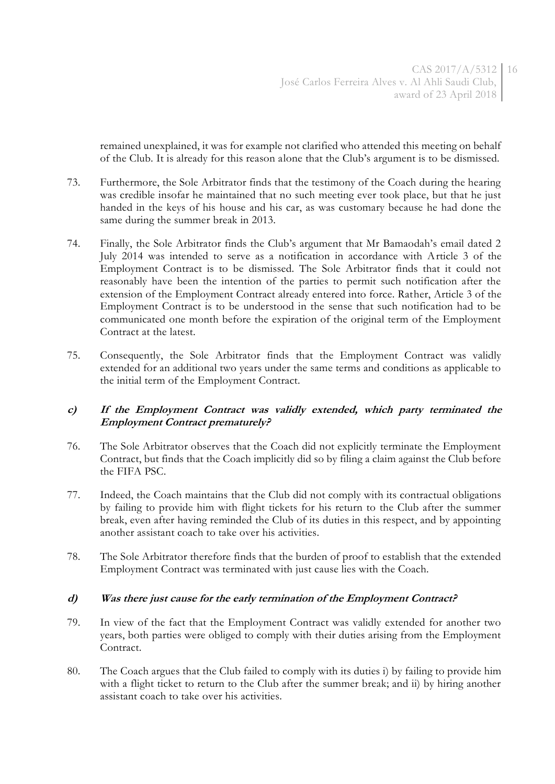remained unexplained, it was for example not clarified who attended this meeting on behalf of the Club. It is already for this reason alone that the Club's argument is to be dismissed.

- 73. Furthermore, the Sole Arbitrator finds that the testimony of the Coach during the hearing was credible insofar he maintained that no such meeting ever took place, but that he just handed in the keys of his house and his car, as was customary because he had done the same during the summer break in 2013.
- 74. Finally, the Sole Arbitrator finds the Club's argument that Mr Bamaodah's email dated 2 July 2014 was intended to serve as a notification in accordance with Article 3 of the Employment Contract is to be dismissed. The Sole Arbitrator finds that it could not reasonably have been the intention of the parties to permit such notification after the extension of the Employment Contract already entered into force. Rather, Article 3 of the Employment Contract is to be understood in the sense that such notification had to be communicated one month before the expiration of the original term of the Employment Contract at the latest.
- 75. Consequently, the Sole Arbitrator finds that the Employment Contract was validly extended for an additional two years under the same terms and conditions as applicable to the initial term of the Employment Contract.

## **c) If the Employment Contract was validly extended, which party terminated the Employment Contract prematurely?**

- 76. The Sole Arbitrator observes that the Coach did not explicitly terminate the Employment Contract, but finds that the Coach implicitly did so by filing a claim against the Club before the FIFA PSC.
- 77. Indeed, the Coach maintains that the Club did not comply with its contractual obligations by failing to provide him with flight tickets for his return to the Club after the summer break, even after having reminded the Club of its duties in this respect, and by appointing another assistant coach to take over his activities.
- 78. The Sole Arbitrator therefore finds that the burden of proof to establish that the extended Employment Contract was terminated with just cause lies with the Coach.

## **d) Was there just cause for the early termination of the Employment Contract?**

- 79. In view of the fact that the Employment Contract was validly extended for another two years, both parties were obliged to comply with their duties arising from the Employment Contract.
- 80. The Coach argues that the Club failed to comply with its duties i) by failing to provide him with a flight ticket to return to the Club after the summer break; and ii) by hiring another assistant coach to take over his activities.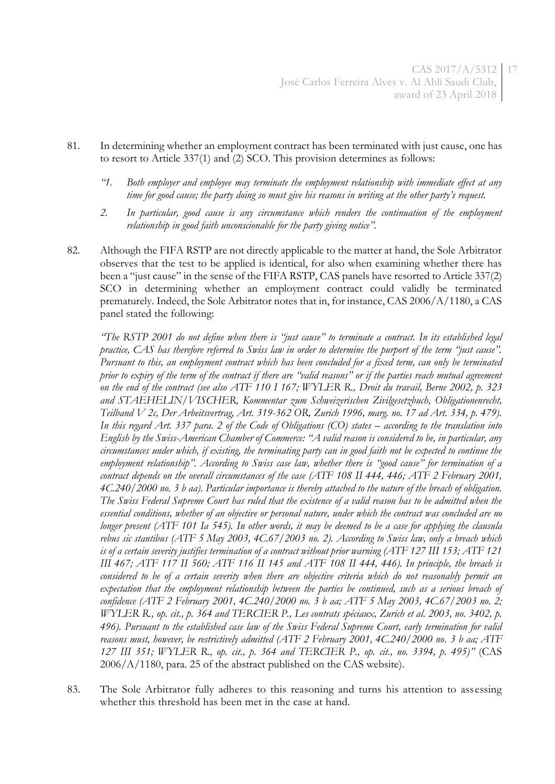- 81. In determining whether an employment contract has been terminated with just cause, one has to resort to Article 337(1) and (2) SCO. This provision determines as follows:
	- *"1. Both employer and employee may terminate the employment relationship with immediate effect at any time for good cause; the party doing so must give his reasons in writing at the other party's request.*
	- *2. In particular, good cause is any circumstance which renders the continuation of the employment relationship in good faith unconscionable for the party giving notice".*
- 82. Although the FIFA RSTP are not directly applicable to the matter at hand, the Sole Arbitrator observes that the test to be applied is identical, for also when examining whether there has been a "just cause" in the sense of the FIFA RSTP, CAS panels have resorted to Article 337(2) SCO in determining whether an employment contract could validly be terminated prematurely. Indeed, the Sole Arbitrator notes that in, for instance, CAS 2006/A/1180, a CAS panel stated the following:

*"The RSTP 2001 do not define when there is "just cause" to terminate a contract. In its established legal practice, CAS has therefore referred to Swiss law in order to determine the purport of the term "just cause". Pursuant to this, an employment contract which has been concluded for a fixed term, can only be terminated prior to expiry of the term of the contract if there are "valid reasons" or if the parties reach mutual agreement on the end of the contract (see also ATF 110 I 167; WYLER R., Droit du travail, Berne 2002, p. 323 and STAEHELIN/VISCHER, Kommentar zum Schweizerischen Zivilgesetzbuch, Obligationenrecht, Teilband V 2c, Der Arbeitsvertrag, Art. 319-362 OR, Zurich 1996, marg. no. 17 ad Art. 334, p. 479).*  In this regard Art. 337 para. 2 of the Code of Obligations (CO) states – according to the translation into *English by the Swiss-American Chamber of Commerce: "A valid reason is considered to be, in particular, any circumstances under which, if existing, the terminating party can in good faith not be expected to continue the employment relationship". According to Swiss case law, whether there is "good cause" for termination of a contract depends on the overall circumstances of the case (ATF 108 II 444, 446; ATF 2 February 2001, 4C.240/2000 no. 3 b aa). Particular importance is thereby attached to the nature of the breach of obligation. The Swiss Federal Supreme Court has ruled that the existence of a valid reason has to be admitted when the essential conditions, whether of an objective or personal nature, under which the contract was concluded are no longer present (ATF 101 Ia 545). In other words, it may be deemed to be a case for applying the clausula rebus sic stantibus (ATF 5 May 2003, 4C.67/2003 no. 2). According to Swiss law, only a breach which is of a certain severity justifies termination of a contract without prior warning (ATF 127 III 153; ATF 121 III 467; ATF 117 II 560; ATF 116 II 145 and ATF 108 II 444, 446). In principle, the breach is considered to be of a certain severity when there are objective criteria which do not reasonably permit an expectation that the employment relationship between the parties be continued, such as a serious breach of confidence (ATF 2 February 2001, 4C.240/2000 no. 3 b aa; ATF 5 May 2003, 4C.67/2003 no. 2; WYLER R., op. cit., p. 364 and TERCIER P., Les contrats spéciaux, Zurich et al. 2003, no. 3402, p. 496). Pursuant to the established case law of the Swiss Federal Supreme Court, early termination for valid reasons must, however, be restrictively admitted (ATF 2 February 2001, 4C.240/2000 no. 3 b aa; ATF 127 III 351; WYLER R., op. cit., p. 364 and TERCIER P., op. cit., no. 3394, p. 495)"* (CAS 2006/A/1180, para. 25 of the abstract published on the CAS website).

83. The Sole Arbitrator fully adheres to this reasoning and turns his attention to assessing whether this threshold has been met in the case at hand.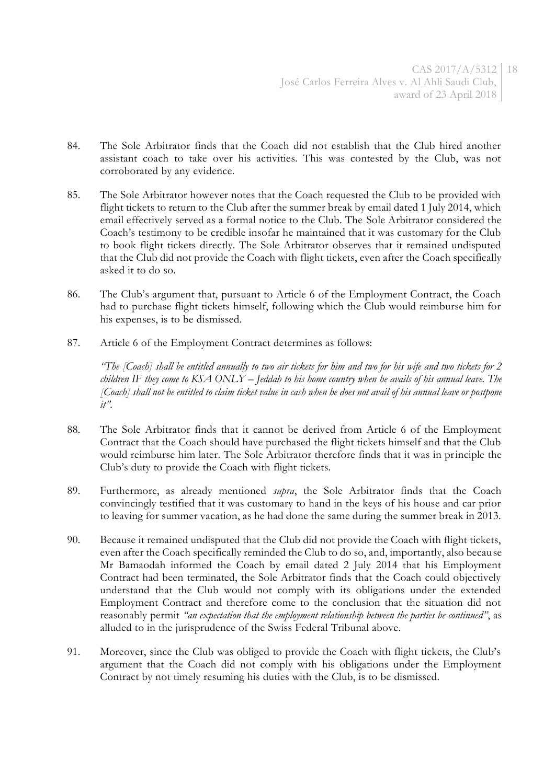- 84. The Sole Arbitrator finds that the Coach did not establish that the Club hired another assistant coach to take over his activities. This was contested by the Club, was not corroborated by any evidence.
- 85. The Sole Arbitrator however notes that the Coach requested the Club to be provided with flight tickets to return to the Club after the summer break by email dated 1 July 2014, which email effectively served as a formal notice to the Club. The Sole Arbitrator considered the Coach's testimony to be credible insofar he maintained that it was customary for the Club to book flight tickets directly. The Sole Arbitrator observes that it remained undisputed that the Club did not provide the Coach with flight tickets, even after the Coach specifically asked it to do so.
- 86. The Club's argument that, pursuant to Article 6 of the Employment Contract, the Coach had to purchase flight tickets himself, following which the Club would reimburse him for his expenses, is to be dismissed.
- 87. Article 6 of the Employment Contract determines as follows:

*"The [Coach] shall be entitled annually to two air tickets for him and two for his wife and two tickets for 2 children IF they come to KSA ONLY – Jeddah to his home country when he avails of his annual leave. The [Coach] shall not be entitled to claim ticket value in cash when he does not avail of his annual leave or postpone it".*

- 88. The Sole Arbitrator finds that it cannot be derived from Article 6 of the Employment Contract that the Coach should have purchased the flight tickets himself and that the Club would reimburse him later. The Sole Arbitrator therefore finds that it was in principle the Club's duty to provide the Coach with flight tickets.
- 89. Furthermore, as already mentioned *supra*, the Sole Arbitrator finds that the Coach convincingly testified that it was customary to hand in the keys of his house and car prior to leaving for summer vacation, as he had done the same during the summer break in 2013.
- 90. Because it remained undisputed that the Club did not provide the Coach with flight tickets, even after the Coach specifically reminded the Club to do so, and, importantly, also because Mr Bamaodah informed the Coach by email dated 2 July 2014 that his Employment Contract had been terminated, the Sole Arbitrator finds that the Coach could objectively understand that the Club would not comply with its obligations under the extended Employment Contract and therefore come to the conclusion that the situation did not reasonably permit *"an expectation that the employment relationship between the parties be continued"*, as alluded to in the jurisprudence of the Swiss Federal Tribunal above.
- 91. Moreover, since the Club was obliged to provide the Coach with flight tickets, the Club's argument that the Coach did not comply with his obligations under the Employment Contract by not timely resuming his duties with the Club, is to be dismissed.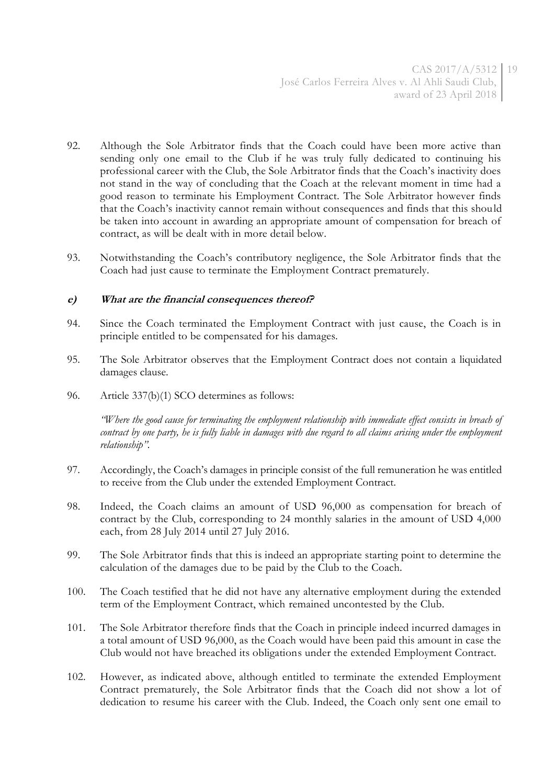- 92. Although the Sole Arbitrator finds that the Coach could have been more active than sending only one email to the Club if he was truly fully dedicated to continuing his professional career with the Club, the Sole Arbitrator finds that the Coach's inactivity does not stand in the way of concluding that the Coach at the relevant moment in time had a good reason to terminate his Employment Contract. The Sole Arbitrator however finds that the Coach's inactivity cannot remain without consequences and finds that this should be taken into account in awarding an appropriate amount of compensation for breach of contract, as will be dealt with in more detail below.
- 93. Notwithstanding the Coach's contributory negligence, the Sole Arbitrator finds that the Coach had just cause to terminate the Employment Contract prematurely.

#### **e) What are the financial consequences thereof?**

- 94. Since the Coach terminated the Employment Contract with just cause, the Coach is in principle entitled to be compensated for his damages.
- 95. The Sole Arbitrator observes that the Employment Contract does not contain a liquidated damages clause.
- 96. Article 337(b)(1) SCO determines as follows:

*"Where the good cause for terminating the employment relationship with immediate effect consists in breach of*  contract by one party, he is fully liable in damages with due regard to all claims arising under the employment *relationship".*

- 97. Accordingly, the Coach's damages in principle consist of the full remuneration he was entitled to receive from the Club under the extended Employment Contract.
- 98. Indeed, the Coach claims an amount of USD 96,000 as compensation for breach of contract by the Club, corresponding to 24 monthly salaries in the amount of USD 4,000 each, from 28 July 2014 until 27 July 2016.
- 99. The Sole Arbitrator finds that this is indeed an appropriate starting point to determine the calculation of the damages due to be paid by the Club to the Coach.
- 100. The Coach testified that he did not have any alternative employment during the extended term of the Employment Contract, which remained uncontested by the Club.
- 101. The Sole Arbitrator therefore finds that the Coach in principle indeed incurred damages in a total amount of USD 96,000, as the Coach would have been paid this amount in case the Club would not have breached its obligations under the extended Employment Contract.
- 102. However, as indicated above, although entitled to terminate the extended Employment Contract prematurely, the Sole Arbitrator finds that the Coach did not show a lot of dedication to resume his career with the Club. Indeed, the Coach only sent one email to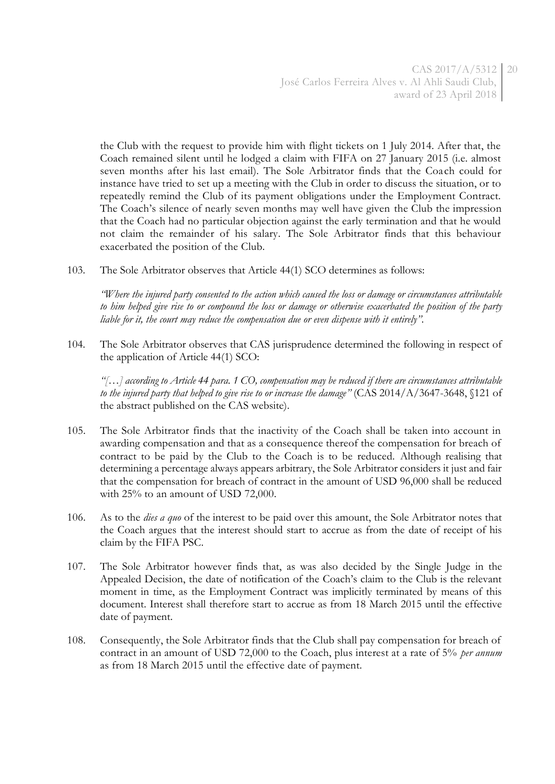the Club with the request to provide him with flight tickets on 1 July 2014. After that, the Coach remained silent until he lodged a claim with FIFA on 27 January 2015 (i.e. almost seven months after his last email). The Sole Arbitrator finds that the Coach could for instance have tried to set up a meeting with the Club in order to discuss the situation, or to repeatedly remind the Club of its payment obligations under the Employment Contract. The Coach's silence of nearly seven months may well have given the Club the impression that the Coach had no particular objection against the early termination and that he would not claim the remainder of his salary. The Sole Arbitrator finds that this behaviour exacerbated the position of the Club.

103. The Sole Arbitrator observes that Article 44(1) SCO determines as follows:

*"Where the injured party consented to the action which caused the loss or damage or circumstances attributable to him helped give rise to or compound the loss or damage or otherwise exacerbated the position of the party liable for it, the court may reduce the compensation due or even dispense with it entirely".*

104. The Sole Arbitrator observes that CAS jurisprudence determined the following in respect of the application of Article 44(1) SCO:

*"[…] according to Article 44 para. 1 CO, compensation may be reduced if there are circumstances attributable to the injured party that helped to give rise to or increase the damage"* (CAS 2014/A/3647-3648, §121 of the abstract published on the CAS website).

- 105. The Sole Arbitrator finds that the inactivity of the Coach shall be taken into account in awarding compensation and that as a consequence thereof the compensation for breach of contract to be paid by the Club to the Coach is to be reduced. Although realising that determining a percentage always appears arbitrary, the Sole Arbitrator considers it just and fair that the compensation for breach of contract in the amount of USD 96,000 shall be reduced with 25% to an amount of USD 72,000.
- 106. As to the *dies a quo* of the interest to be paid over this amount, the Sole Arbitrator notes that the Coach argues that the interest should start to accrue as from the date of receipt of his claim by the FIFA PSC.
- 107. The Sole Arbitrator however finds that, as was also decided by the Single Judge in the Appealed Decision, the date of notification of the Coach's claim to the Club is the relevant moment in time, as the Employment Contract was implicitly terminated by means of this document. Interest shall therefore start to accrue as from 18 March 2015 until the effective date of payment.
- 108. Consequently, the Sole Arbitrator finds that the Club shall pay compensation for breach of contract in an amount of USD 72,000 to the Coach, plus interest at a rate of 5% *per annum* as from 18 March 2015 until the effective date of payment.